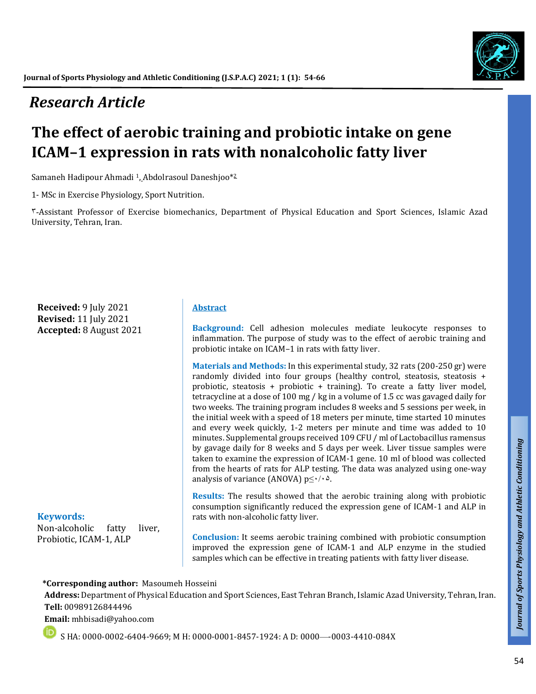# *Research Article*

# **The effect of aerobic training and probiotic intake on gene ICAM–1 expression in rats with nonalcoholic fatty liver**

Samaneh Hadipour Ahmadi <sup>1</sup>, Abdolrasoul Daneshjoo\*<sup>2</sup>

1- MSc in Exercise Physiology, Sport Nutrition.

3-Assistant Professor of Exercise biomechanics, Department of Physical Education and Sport Sciences, Islamic Azad University, Tehran, Iran.

**Received:** 9 July 2021 **Revised:** 11 July 2021 **Accepted:** 8 August 2021

#### **Keywords:** Non-alcoholic fatty liver, Probiotic, ICAM-1, ALP

#### **Abstract**

**Background:** Cell adhesion molecules mediate leukocyte responses to inflammation. The purpose of study was to the effect of aerobic training and probiotic intake on ICAM–1 in rats with fatty liver.

**Materials and Methods:** In this experimental study, 32 rats (200-250 gr) were randomly divided into four groups (healthy control, steatosis, steatosis + probiotic, steatosis + probiotic + training). To create a fatty liver model, tetracycline at a dose of 100 mg / kg in a volume of 1.5 cc was gavaged daily for two weeks. The training program includes 8 weeks and 5 sessions per week, in the initial week with a speed of 18 meters per minute, time started 10 minutes and every week quickly, 1-2 meters per minute and time was added to 10 minutes. Supplemental groups received 109 CFU / ml of Lactobacillus ramensus by gavage daily for 8 weeks and 5 days per week. Liver tissue samples were taken to examine the expression of ICAM-1 gene. 10 ml of blood was collected from the hearts of rats for ALP testing. The data was analyzed using one-way analysis of variance (ANOVA)  $p \leq \cdot / \cdot \Delta$ .

**Results:** The results showed that the aerobic training along with probiotic consumption significantly reduced the expression gene of ICAM-1 and ALP in rats with non-alcoholic fatty liver.

**Conclusion:** It seems aerobic training combined with probiotic consumption improved the expression gene of ICAM-1 and ALP enzyme in the studied samples which can be effective in treating patients with fatty liver disease.

#### **\*Corresponding author:** Masoumeh Hosseini

**Address:** Department of Physical Education and Sport Sciences, East Tehran Branch, Islamic Azad University, Tehran, Iran. **Tell:** 00989126844496

**Email:** mhbisadi@yahoo.com

S HA: 0000-0002-6404-9669; M H: 0000-0001-8457-1924: A D: 0000—-0003-4410-084X

*Talk*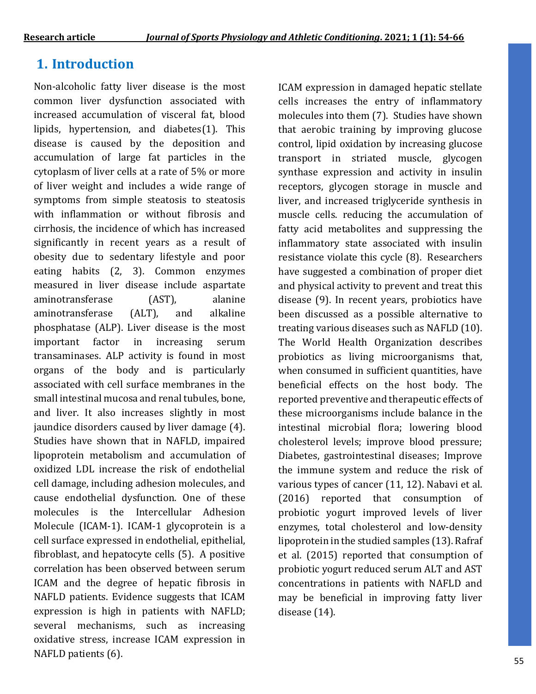# **1. Introduction**

Non-alcoholic fatty liver disease is the most common liver dysfunction associated with increased accumulation of visceral fat, blood lipids, hypertension, and diabetes(1). This disease is caused by the deposition and accumulation of large fat particles in the cytoplasm of liver cells at a rate of 5% or more of liver weight and includes a wide range of symptoms from simple steatosis to steatosis with inflammation or without fibrosis and cirrhosis, the incidence of which has increased significantly in recent years as a result of obesity due to sedentary lifestyle and poor eating habits (2, 3). Common enzymes measured in liver disease include aspartate aminotransferase (AST), alanine aminotransferase (ALT), and alkaline phosphatase (ALP). Liver disease is the most important factor in increasing serum transaminases. ALP activity is found in most organs of the body and is particularly associated with cell surface membranes in the small intestinal mucosa and renal tubules, bone, and liver. It also increases slightly in most jaundice disorders caused by liver damage (4). Studies have shown that in NAFLD, impaired lipoprotein metabolism and accumulation of oxidized LDL increase the risk of endothelial cell damage, including adhesion molecules, and cause endothelial dysfunction. One of these molecules is the Intercellular Adhesion Molecule (ICAM-1). ICAM-1 glycoprotein is a cell surface expressed in endothelial, epithelial, fibroblast, and hepatocyte cells (5). A positive correlation has been observed between serum ICAM and the degree of hepatic fibrosis in NAFLD patients. Evidence suggests that ICAM expression is high in patients with NAFLD; several mechanisms, such as increasing oxidative stress, increase ICAM expression in NAFLD patients (6).

ICAM expression in damaged hepatic stellate cells increases the entry of inflammatory molecules into them (7). Studies have shown that aerobic training by improving glucose control, lipid oxidation by increasing glucose transport in striated muscle, glycogen synthase expression and activity in insulin receptors, glycogen storage in muscle and liver, and increased triglyceride synthesis in muscle cells. reducing the accumulation of fatty acid metabolites and suppressing the inflammatory state associated with insulin resistance violate this cycle (8). Researchers have suggested a combination of proper diet and physical activity to prevent and treat this disease (9). In recent years, probiotics have been discussed as a possible alternative to treating various diseases such as NAFLD (10). The World Health Organization describes probiotics as living microorganisms that, when consumed in sufficient quantities, have beneficial effects on the host body. The reported preventive and therapeutic effects of these microorganisms include balance in the intestinal microbial flora; lowering blood cholesterol levels; improve blood pressure; Diabetes, gastrointestinal diseases; Improve the immune system and reduce the risk of various types of cancer (11, 12). Nabavi et al. (2016) reported that consumption of probiotic yogurt improved levels of liver enzymes, total cholesterol and low-density lipoprotein in the studied samples (13). Rafraf et al. (2015) reported that consumption of probiotic yogurt reduced serum ALT and AST concentrations in patients with NAFLD and may be beneficial in improving fatty liver disease (14).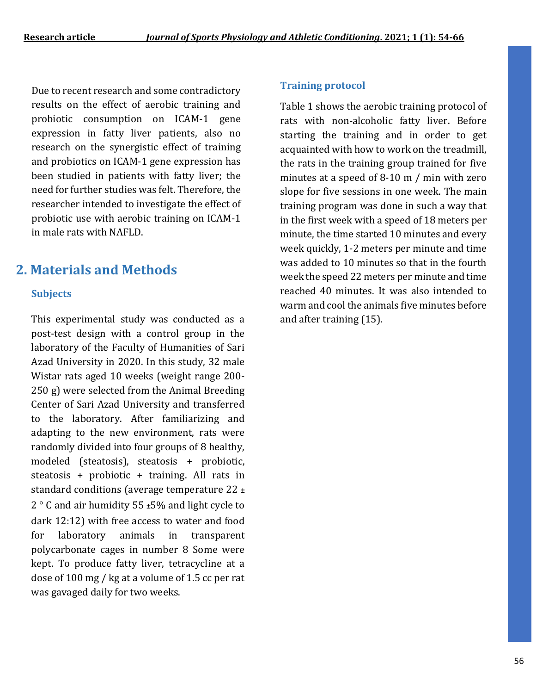Due to recent research and some contradictory results on the effect of aerobic training and probiotic consumption on ICAM-1 gene expression in fatty liver patients, also no research on the synergistic effect of training and probiotics on ICAM-1 gene expression has been studied in patients with fatty liver; the need for further studies was felt. Therefore, the researcher intended to investigate the effect of probiotic use with aerobic training on ICAM-1 in male rats with NAFLD.

## **2. Materials and Methods**

#### **Subjects**

This experimental study was conducted as a post-test design with a control group in the laboratory of the Faculty of Humanities of Sari Azad University in 2020. In this study, 32 male Wistar rats aged 10 weeks (weight range 200- 250 g) were selected from the Animal Breeding Center of Sari Azad University and transferred to the laboratory. After familiarizing and adapting to the new environment, rats were randomly divided into four groups of 8 healthy, modeled (steatosis), steatosis + probiotic, steatosis + probiotic + training. All rats in standard conditions (average temperature 22 ± 2 ° C and air humidity 55 ±5% and light cycle to dark 12:12) with free access to water and food for laboratory animals in transparent polycarbonate cages in number 8 Some were kept. To produce fatty liver, tetracycline at a dose of 100 mg / kg at a volume of 1.5 cc per rat was gavaged daily for two weeks.

#### **Training protocol**

Table 1 shows the aerobic training protocol of rats with non-alcoholic fatty liver. Before starting the training and in order to get acquainted with how to work on the treadmill, the rats in the training group trained for five minutes at a speed of 8-10 m / min with zero slope for five sessions in one week. The main training program was done in such a way that in the first week with a speed of 18 meters per minute, the time started 10 minutes and every week quickly, 1-2 meters per minute and time was added to 10 minutes so that in the fourth week the speed 22 meters per minute and time reached 40 minutes. It was also intended to warm and cool the animals five minutes before and after training (15).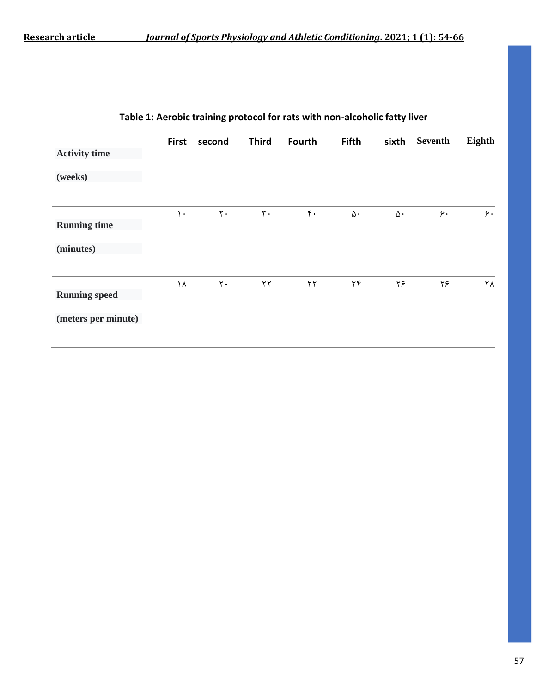|                      | <b>First</b>  | second         | <b>Third</b>   | Fourth                 | <b>Fifth</b>            | sixth      | Seventh          | Eighth |
|----------------------|---------------|----------------|----------------|------------------------|-------------------------|------------|------------------|--------|
| <b>Activity time</b> |               |                |                |                        |                         |            |                  |        |
| (weeks)              |               |                |                |                        |                         |            |                  |        |
|                      | $\mathcal{L}$ | $\mathsf{r}$ . | $\mathbf{r}$ . | $\mathfrak{r}$ .       | $\Delta$ .              | $\Delta$ . | $\mathfrak{c}$ . | 5.     |
| <b>Running time</b>  |               |                |                |                        |                         |            |                  |        |
| (minutes)            |               |                |                |                        |                         |            |                  |        |
| <b>Running speed</b> | ١٨            | $\mathbf{r}$ . | $\mathbf{r}$   | $\mathsf{Y}\mathsf{Y}$ | $\mathbf{Y} \mathbf{F}$ | ۲۶         | ۲۶               | ٢٨     |
| (meters per minute)  |               |                |                |                        |                         |            |                  |        |

### **Table 1: Aerobic training protocol for rats with non-alcoholic fatty liver**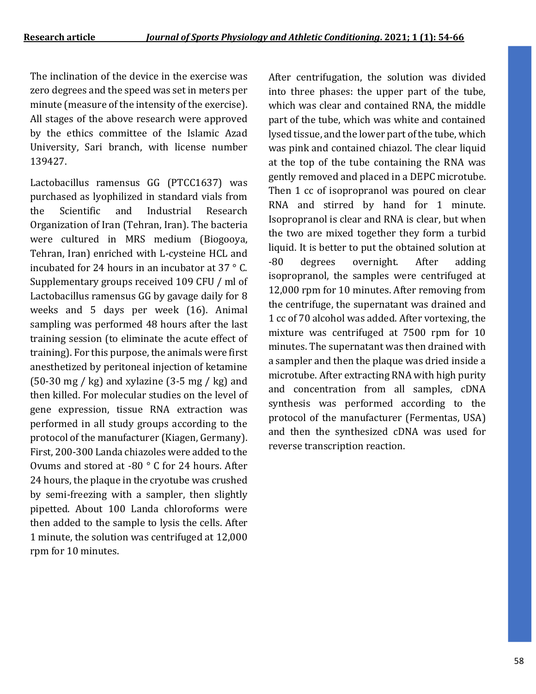The inclination of the device in the exercise was zero degrees and the speed was set in meters per minute (measure of the intensity of the exercise). All stages of the above research were approved by the ethics committee of the Islamic Azad University, Sari branch, with license number 139427.

Lactobacillus ramensus GG (PTCC1637) was purchased as lyophilized in standard vials from the Scientific and Industrial Research Organization of Iran (Tehran, Iran). The bacteria were cultured in MRS medium (Biogooya, Tehran, Iran) enriched with L-cysteine HCL and incubated for 24 hours in an incubator at 37 ° C. Supplementary groups received 109 CFU / ml of Lactobacillus ramensus GG by gavage daily for 8 weeks and 5 days per week (16). Animal sampling was performed 48 hours after the last training session (to eliminate the acute effect of training). For this purpose, the animals were first anesthetized by peritoneal injection of ketamine  $(50-30 \text{ mg} / \text{kg})$  and xylazine  $(3-5 \text{ mg} / \text{kg})$  and then killed. For molecular studies on the level of gene expression, tissue RNA extraction was performed in all study groups according to the protocol of the manufacturer (Kiagen, Germany). First, 200-300 Landa chiazoles were added to the Ovums and stored at -80 ° C for 24 hours. After 24 hours, the plaque in the cryotube was crushed by semi-freezing with a sampler, then slightly pipetted. About 100 Landa chloroforms were then added to the sample to lysis the cells. After 1 minute, the solution was centrifuged at 12,000 rpm for 10 minutes.

After centrifugation, the solution was divided into three phases: the upper part of the tube, which was clear and contained RNA, the middle part of the tube, which was white and contained lysed tissue, and the lower part of the tube, which was pink and contained chiazol. The clear liquid at the top of the tube containing the RNA was gently removed and placed in a DEPC microtube. Then 1 cc of isopropranol was poured on clear RNA and stirred by hand for 1 minute. Isopropranol is clear and RNA is clear, but when the two are mixed together they form a turbid liquid. It is better to put the obtained solution at -80 degrees overnight. After adding isopropranol, the samples were centrifuged at 12,000 rpm for 10 minutes. After removing from the centrifuge, the supernatant was drained and 1 cc of 70 alcohol was added. After vortexing, the mixture was centrifuged at 7500 rpm for 10 minutes. The supernatant was then drained with a sampler and then the plaque was dried inside a microtube. After extracting RNA with high purity and concentration from all samples, cDNA synthesis was performed according to the protocol of the manufacturer (Fermentas, USA) and then the synthesized cDNA was used for reverse transcription reaction.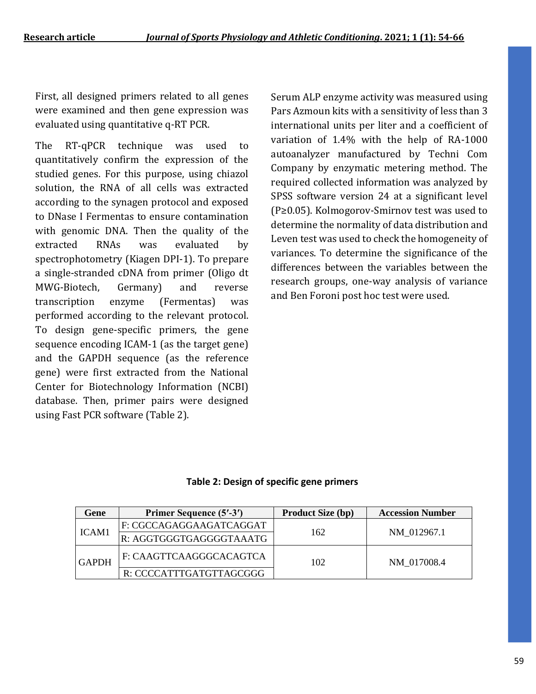First, all designed primers related to all genes were examined and then gene expression was evaluated using quantitative q-RT PCR.

The RT-qPCR technique was used to quantitatively confirm the expression of the studied genes. For this purpose, using chiazol solution, the RNA of all cells was extracted according to the synagen protocol and exposed to DNase I Fermentas to ensure contamination with genomic DNA. Then the quality of the extracted RNAs was evaluated by spectrophotometry (Kiagen DPI-1). To prepare a single-stranded cDNA from primer (Oligo dt MWG-Biotech, Germany) and reverse transcription enzyme (Fermentas) was performed according to the relevant protocol. To design gene-specific primers, the gene sequence encoding ICAM-1 (as the target gene) and the GAPDH sequence (as the reference gene) were first extracted from the National Center for Biotechnology Information (NCBI) database. Then, primer pairs were designed using Fast PCR software (Table 2).

Serum ALP enzyme activity was measured using Pars Azmoun kits with a sensitivity of less than 3 international units per liter and a coefficient of variation of 1.4% with the help of RA-1000 autoanalyzer manufactured by Techni Com Company by enzymatic metering method. The required collected information was analyzed by SPSS software version 24 at a significant level (P≥0.05). Kolmogorov-Smirnov test was used to determine the normality of data distribution and Leven test was used to check the homogeneity of variances. To determine the significance of the differences between the variables between the research groups, one-way analysis of variance and Ben Foroni post hoc test were used.

#### **Table 2: Design of specific gene primers**

| Gene         | Primer Sequence (5'-3') | <b>Product Size (bp)</b> | <b>Accession Number</b> |  |
|--------------|-------------------------|--------------------------|-------------------------|--|
| ICAM1        | F: CGCCAGAGGAAGATCAGGAT | 162                      | NM 012967.1             |  |
|              | R: AGGTGGGTGAGGGGTAAATG |                          |                         |  |
| <b>GAPDH</b> | F: CAAGTTCAAGGGCACAGTCA | 102                      | NM 017008.4             |  |
|              | R: CCCCATTTGATGTTAGCGGG |                          |                         |  |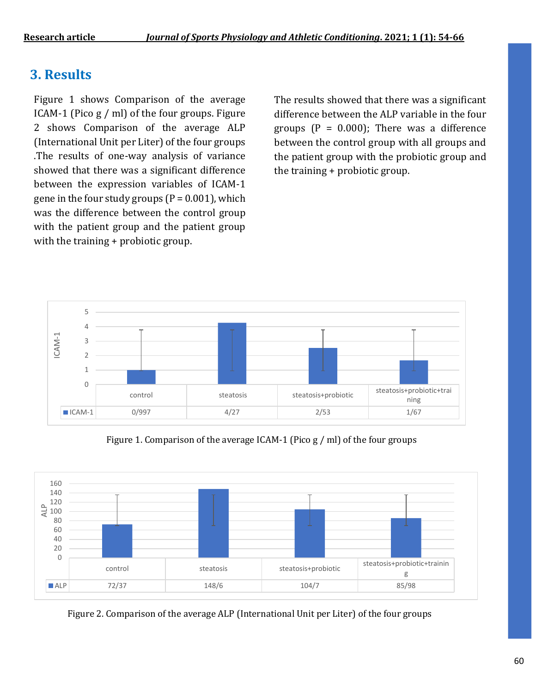# **3. Results**

Figure 1 shows Comparison of the average ICAM-1 (Pico g / ml) of the four groups. Figure 2 shows Comparison of the average ALP (International Unit per Liter) of the four groups .The results of one-way analysis of variance showed that there was a significant difference between the expression variables of ICAM-1 gene in the four study groups  $(P = 0.001)$ , which was the difference between the control group with the patient group and the patient group with the training + probiotic group.

The results showed that there was a significant difference between the ALP variable in the four groups  $(P = 0.000)$ ; There was a difference between the control group with all groups and the patient group with the probiotic group and the training + probiotic group.



Figure 1. Comparison of the average ICAM-1 (Pico g / ml) of the four groups



Figure 2. Comparison of the average ALP (International Unit per Liter) of the four groups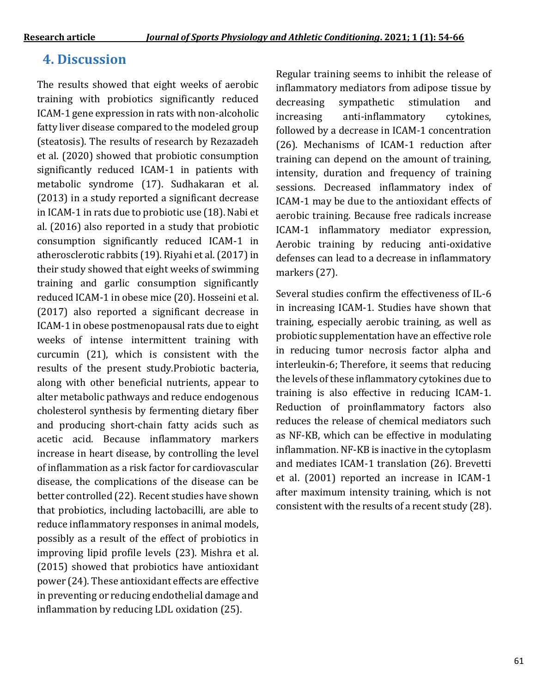# **4. Discussion**

The results showed that eight weeks of aerobic training with probiotics significantly reduced ICAM-1 gene expression in rats with non-alcoholic fatty liver disease compared to the modeled group (steatosis). The results of research by Rezazadeh et al. (2020) showed that probiotic consumption significantly reduced ICAM-1 in patients with metabolic syndrome (17). Sudhakaran et al. (2013) in a study reported a significant decrease in ICAM-1 in rats due to probiotic use (18). Nabi et al. (2016) also reported in a study that probiotic consumption significantly reduced ICAM-1 in atherosclerotic rabbits (19). Riyahi et al. (2017) in their study showed that eight weeks of swimming training and garlic consumption significantly reduced ICAM-1 in obese mice (20). Hosseini et al. (2017) also reported a significant decrease in ICAM-1 in obese postmenopausal rats due to eight weeks of intense intermittent training with curcumin (21), which is consistent with the results of the present study.Probiotic bacteria, along with other beneficial nutrients, appear to alter metabolic pathways and reduce endogenous cholesterol synthesis by fermenting dietary fiber and producing short-chain fatty acids such as acetic acid. Because inflammatory markers increase in heart disease, by controlling the level of inflammation as a risk factor for cardiovascular disease, the complications of the disease can be better controlled (22). Recent studies have shown that probiotics, including lactobacilli, are able to reduce inflammatory responses in animal models, possibly as a result of the effect of probiotics in improving lipid profile levels (23). Mishra et al. (2015) showed that probiotics have antioxidant power (24). These antioxidant effects are effective in preventing or reducing endothelial damage and inflammation by reducing LDL oxidation (25).

Regular training seems to inhibit the release of inflammatory mediators from adipose tissue by decreasing sympathetic stimulation and increasing anti-inflammatory cytokines, followed by a decrease in ICAM-1 concentration (26). Mechanisms of ICAM-1 reduction after training can depend on the amount of training, intensity, duration and frequency of training sessions. Decreased inflammatory index of ICAM-1 may be due to the antioxidant effects of aerobic training. Because free radicals increase ICAM-1 inflammatory mediator expression, Aerobic training by reducing anti-oxidative defenses can lead to a decrease in inflammatory markers (27).

Several studies confirm the effectiveness of IL-6 in increasing ICAM-1. Studies have shown that training, especially aerobic training, as well as probiotic supplementation have an effective role in reducing tumor necrosis factor alpha and interleukin-6; Therefore, it seems that reducing the levels of these inflammatory cytokines due to training is also effective in reducing ICAM-1. Reduction of proinflammatory factors also reduces the release of chemical mediators such as NF-KB, which can be effective in modulating inflammation. NF-KB is inactive in the cytoplasm and mediates ICAM-1 translation (26). Brevetti et al. (2001) reported an increase in ICAM-1 after maximum intensity training, which is not consistent with the results of a recent study (28).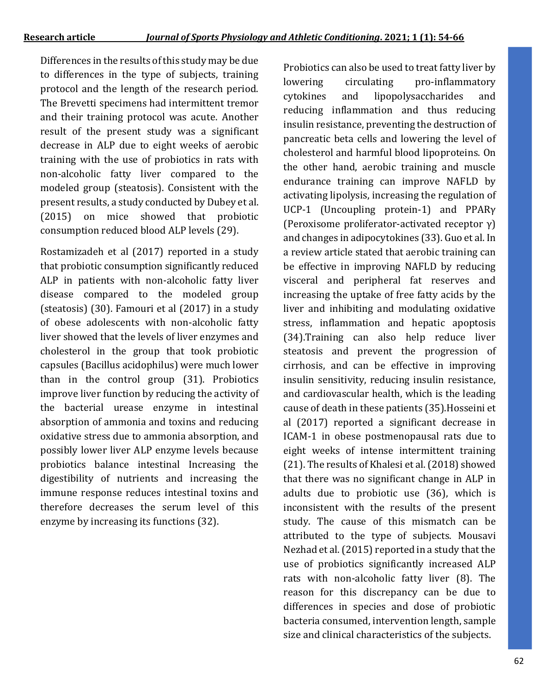Differences in the results of this study may be due to differences in the type of subjects, training protocol and the length of the research period. The Brevetti specimens had intermittent tremor and their training protocol was acute. Another result of the present study was a significant decrease in ALP due to eight weeks of aerobic training with the use of probiotics in rats with non-alcoholic fatty liver compared to the modeled group (steatosis). Consistent with the present results, a study conducted by Dubey et al. (2015) on mice showed that probiotic consumption reduced blood ALP levels (29).

Rostamizadeh et al (2017) reported in a study that probiotic consumption significantly reduced ALP in patients with non-alcoholic fatty liver disease compared to the modeled group (steatosis) (30). Famouri et al (2017) in a study of obese adolescents with non-alcoholic fatty liver showed that the levels of liver enzymes and cholesterol in the group that took probiotic capsules (Bacillus acidophilus) were much lower than in the control group (31). Probiotics improve liver function by reducing the activity of the bacterial urease enzyme in intestinal absorption of ammonia and toxins and reducing oxidative stress due to ammonia absorption, and possibly lower liver ALP enzyme levels because probiotics balance intestinal Increasing the digestibility of nutrients and increasing the immune response reduces intestinal toxins and therefore decreases the serum level of this enzyme by increasing its functions (32).

Probiotics can also be used to treat fatty liver by lowering circulating pro-inflammatory cytokines and lipopolysaccharides and reducing inflammation and thus reducing insulin resistance, preventing the destruction of pancreatic beta cells and lowering the level of cholesterol and harmful blood lipoproteins. On the other hand, aerobic training and muscle endurance training can improve NAFLD by activating lipolysis, increasing the regulation of UCP-1 (Uncoupling protein-1) and PPARγ (Peroxisome proliferator-activated receptor γ) and changes in adipocytokines (33). Guo et al. In a review article stated that aerobic training can be effective in improving NAFLD by reducing visceral and peripheral fat reserves and increasing the uptake of free fatty acids by the liver and inhibiting and modulating oxidative stress, inflammation and hepatic apoptosis (34).Training can also help reduce liver steatosis and prevent the progression of cirrhosis, and can be effective in improving insulin sensitivity, reducing insulin resistance, and cardiovascular health, which is the leading cause of death in these patients (35).Hosseini et al (2017) reported a significant decrease in ICAM-1 in obese postmenopausal rats due to eight weeks of intense intermittent training (21). The results of Khalesi et al. (2018) showed that there was no significant change in ALP in adults due to probiotic use (36), which is inconsistent with the results of the present study. The cause of this mismatch can be attributed to the type of subjects. Mousavi Nezhad et al. (2015) reported in a study that the use of probiotics significantly increased ALP rats with non-alcoholic fatty liver (8). The reason for this discrepancy can be due to differences in species and dose of probiotic bacteria consumed, intervention length, sample size and clinical characteristics of the subjects.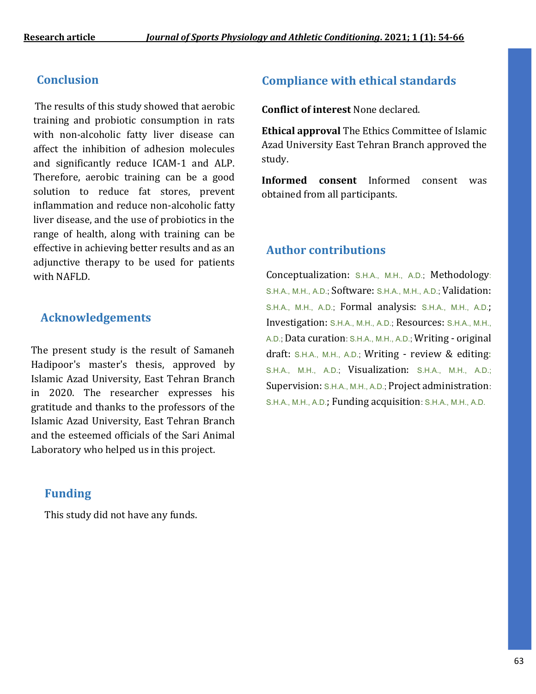### **Conclusion**

 The results of this study showed that aerobic training and probiotic consumption in rats with non-alcoholic fatty liver disease can affect the inhibition of adhesion molecules and significantly reduce ICAM-1 and ALP. Therefore, aerobic training can be a good solution to reduce fat stores, prevent inflammation and reduce non-alcoholic fatty liver disease, and the use of probiotics in the range of health, along with training can be effective in achieving better results and as an adjunctive therapy to be used for patients with NAFLD.

### **Acknowledgements**

The present study is the result of Samaneh Hadipoor's master's thesis, approved by Islamic Azad University, East Tehran Branch in 2020. The researcher expresses his gratitude and thanks to the professors of the Islamic Azad University, East Tehran Branch and the esteemed officials of the Sari Animal Laboratory who helped us in this project.

### **Funding**

This study did not have any funds.

## **Compliance with ethical standards**

**Conflict of interest** None declared.

**Ethical approval** The Ethics Committee of Islamic Azad University East Tehran Branch approved the study.

**Informed consent** Informed consent was obtained from all participants.

### **Author contributions**

Conceptualization: S.H.A., M.H., A.D.; Methodology: S.H.A., M.H., A.D.; Software: S.H.A., M.H., A.D.; Validation: S.H.A., M.H., A.D.; Formal analysis: S.H.A., M.H., A.D.; Investigation: S.H.A., M.H., A.D.; Resources: S.H.A., M.H., A.D.; Data curation: S.H.A., M.H., A.D.; Writing - original draft: S.H.A., M.H., A.D.; Writing - review & editing: S.H.A., M.H., A.D.; Visualization: S.H.A., M.H., A.D.; Supervision: S.H.A., M.H., A.D.; Project administration: S.H.A., M.H., A.D.; Funding acquisition: S.H.A., M.H., A.D.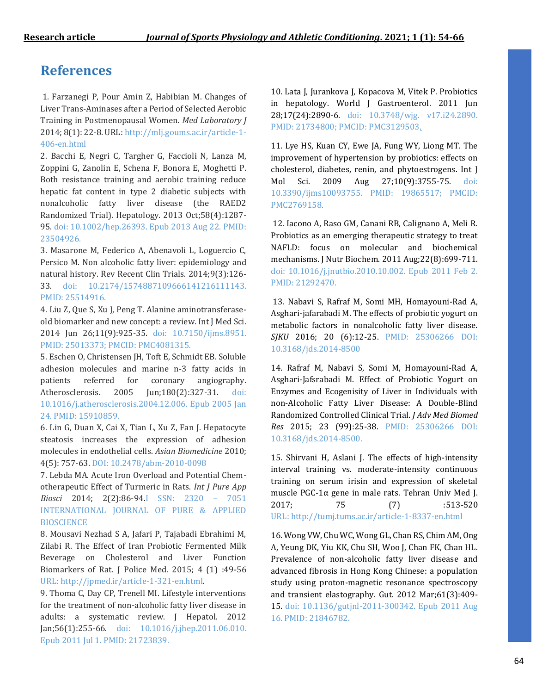## **References**

1. Farzanegi P, Pour Amin Z, Habibian M. Changes of Liver Trans-Aminases after a Period of Selected Aerobic Training in Postmenopausal Women. *Med Laboratory J* 2014; 8(1): 22-8. URL: [http://mlj.goums.ac.ir/article-1-](http://mlj.goums.ac.ir/article-1-406-en.html) [406-en.html](http://mlj.goums.ac.ir/article-1-406-en.html)

2. Bacchi E, Negri C, Targher G, Faccioli N, Lanza M, Zoppini G, Zanolin E, Schena F, Bonora E, Moghetti P. Both resistance training and aerobic training reduce hepatic fat content in type 2 diabetic subjects with nonalcoholic fatty liver disease (the RAED2 Randomized Trial). Hepatology. 2013 Oct;58(4):1287- 95. doi: 10.1002/hep.26393. Epub 2013 Aug 22. PMID: 23504926.

3. Masarone M, Federico A, Abenavoli L, Loguercio C, Persico M. Non alcoholic fatty liver: epidemiology and natural history. Rev Recent Clin Trials. 2014;9(3):126- 33. doi: 10.2174/1574887109666141216111143. PMID: 25514916.

4. Liu Z, Que S, Xu J, Peng T. Alanine aminotransferaseold biomarker and new concept: a review. Int J Med Sci. 2014 Jun 26;11(9):925-35. doi: 10.7150/ijms.8951. PMID: 25013373; PMCID: PMC4081315.

5. Eschen O, Christensen JH, Toft E, Schmidt EB. Soluble adhesion molecules and marine n-3 fatty acids in patients referred for coronary angiography. Atherosclerosis. 2005 Jun;180(2):327-31. doi: 10.1016/j.atherosclerosis.2004.12.006. Epub 2005 Jan 24. PMID: 15910859.

6. Lin G, Duan X, Cai X, Tian L, Xu Z, Fan J. Hepatocyte steatosis increases the expression of adhesion molecules in endothelial cells. *Asian Biomedicine* 2010; 4(5): 757-63. DOI: 10.2478/abm-2010-0098

7. Lebda MA. Acute Iron Overload and Potential Chemotherapeutic Effect of Turmeric in Rats. *Int J Pure App Biosci* 2014; 2(2):86-94.I SSN: 2320 – 7051 INTERNATIONAL JOURNAL OF PURE & APPLIED **BIOSCIENCE** 

8. Mousavi Nezhad S A, Jafari P, Tajabadi Ebrahimi M, Zilabi R. The Effect of Iran Probiotic Fermented Milk Beverage on Cholesterol and Liver Function Biomarkers of Rat. J Police Med. 2015; 4 (1) :49-56 URL: [http://jpmed.ir/article-1-321-en.html.](http://jpmed.ir/article-1-321-en.html)

9. Thoma C, Day CP, Trenell MI. Lifestyle interventions for the treatment of non-alcoholic fatty liver disease in adults: a systematic review. J Hepatol. 2012 Jan;56(1):255-66. doi: 10.1016/j.jhep.2011.06.010. Epub 2011 Jul 1. PMID: 21723839.

10. Lata J, Jurankova J, Kopacova M, Vitek P. Probiotics in hepatology. World J Gastroenterol. 2011 Jun 28;17(24):2890-6. doi: 10.3748/wjg. v17.i24.2890. PMID: 21734800; PMCID: PMC3129503.

11. Lye HS, Kuan CY, Ewe JA, Fung WY, Liong MT. The improvement of hypertension by probiotics: effects on cholesterol, diabetes, renin, and phytoestrogens. Int J Mol Sci. 2009 Aug 27;10(9):3755-75. doi: 10.3390/ijms10093755. PMID: 19865517; PMCID: PMC2769158.

12. Iacono A, Raso GM, Canani RB, Calignano A, Meli R. Probiotics as an emerging therapeutic strategy to treat NAFLD: focus on molecular and biochemical mechanisms. J Nutr Biochem. 2011 Aug;22(8):699-711. doi: 10.1016/j.jnutbio.2010.10.002. Epub 2011 Feb 2. PMID: 21292470.

13. Nabavi S, Rafraf M, Somi MH, Homayouni-Rad A, Asghari-jafarabadi M. The effects of probiotic yogurt on metabolic factors in nonalcoholic fatty liver disease. *SJKU* 2016; 20 (6):12-25. PMID: 25306266 DOI: 10.3168/jds.2014-8500

14. Rafraf M, Nabavi S, Somi M, Homayouni-Rad A, Asghari-Jafsrabadi M. Effect of Probiotic Yogurt on Enzymes and Ecogenisity of Liver in Individuals with non-Alcoholic Fatty Liver Disease: A Double-Blind Randomized Controlled Clinical Trial. *J Adv Med Biomed Res* 2015; 23 (99):25-38. PMID: 25306266 DOI: 10.3168/jds.2014-8500.

15. Shirvani H, Aslani J. The effects of high-intensity interval training vs. moderate-intensity continuous training on serum irisin and expression of skeletal muscle PGC-1α gene in male rats. Tehran Univ Med J. 2017; 75 (7) :513-520 URL: <http://tumj.tums.ac.ir/article-1-8337-en.html>

16. Wong VW, Chu WC, Wong GL, Chan RS, Chim AM, Ong A, Yeung DK, Yiu KK, Chu SH, Woo J, Chan FK, Chan HL. Prevalence of non-alcoholic fatty liver disease and advanced fibrosis in Hong Kong Chinese: a population study using proton-magnetic resonance spectroscopy and transient elastography. Gut. 2012 Mar;61(3):409- 15. doi: 10.1136/gutjnl-2011-300342. Epub 2011 Aug 16. PMID: 21846782.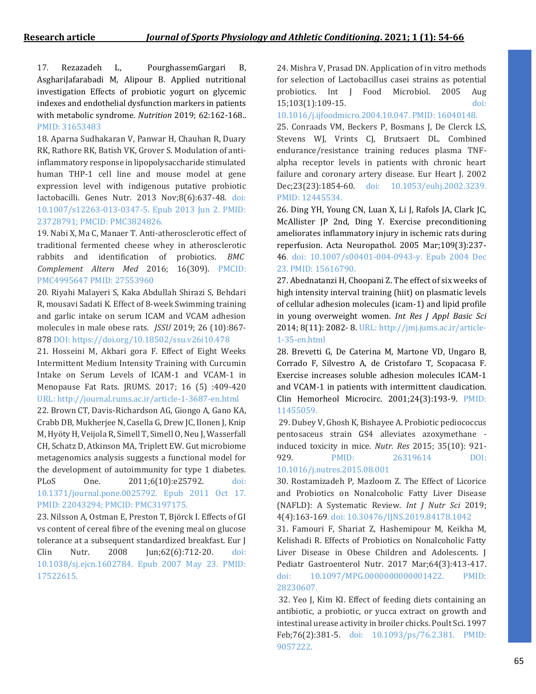17. [Rezazadeh](https://www.sciencedirect.com/science/article/abs/pii/S0899900718303411#%21) L, [PourghassemGargari](https://www.sciencedirect.com/science/article/abs/pii/S0899900718303411#%21) B, [AsghariJafarabadi](https://www.sciencedirect.com/science/article/abs/pii/S0899900718303411#%21) M, [Alipour](https://www.sciencedirect.com/science/article/abs/pii/S0899900718303411#%21) B. Applied nutritional investigation Effects of probiotic yogurt on glycemic indexes and endothelial dysfunction markers in patients with metabolic syndrome*. Nutrition* 2019; 62:162-168.. PMID: 31653483

18. Aparna Sudhakaran V, Panwar H, Chauhan R, Duary RK, Rathore RK, Batish VK, Grover S. Modulation of antiinflammatory response in lipopolysaccharide stimulated human THP-1 cell line and mouse model at gene expression level with indigenous putative probiotic lactobacilli. Genes Nutr. 2013 Nov;8(6):637-48. doi: 10.1007/s12263-013-0347-5. Epub 2013 Jun 2. PMID: 23728791; PMCID: PMC3824826.

19. Nabi X, Ma C, Manaer T*.* Anti-atherosclerotic effect of traditional fermented cheese whey in atherosclerotic rabbits and identification of probiotics. *BMC Complement Altern Med* 2016; 16(309). PMCID: PMC4995647 PMID: 27553960

20. Riyahi Malayeri S, Kaka Abdullah Shirazi S, Behdari R, mousavi Sadati K. Effect of 8-week Swimming training and garlic intake on serum ICAM and VCAM adhesion molecules in male obese rats. *JSSU* 2019; 26 (10):867- 878 DOI: https://doi.org/10.18502/ssu.v26i10.478

21. Hosseini M, Akbari gora F. Effect of Eight Weeks Intermittent Medium Intensity Training with Curcumin Intake on Serum Levels of ICAM-1 and VCAM-1 in Menopause Fat Rats. JRUMS. 2017; 16 (5) :409-420 URL: <http://journal.rums.ac.ir/article-1-3687-en.html>

22. Brown CT, Davis-Richardson AG, Giongo A, Gano KA, Crabb DB, Mukherjee N, Casella G, Drew JC, Ilonen J, Knip M, Hyöty H, Veijola R, Simell T, Simell O, Neu J, Wasserfall CH, Schatz D, Atkinson MA, Triplett EW. Gut microbiome metagenomics analysis suggests a functional model for the development of autoimmunity for type 1 diabetes.

PLoS One. 2011;6(10):e25792. doi: 10.1371/journal.pone.0025792. Epub 2011 Oct 17. PMID: 22043294; PMCID: PMC3197175.

23. Nilsson A, Ostman E, Preston T, Björck I. Effects of GI vs content of cereal fibre of the evening meal on glucose tolerance at a subsequent standardized breakfast. Eur J Clin Nutr. 2008 Jun;62(6):712-20. doi: 10.1038/sj.ejcn.1602784. Epub 2007 May 23. PMID: 17522615.

24. Mishra V, Prasad DN. Application of in vitro methods for selection of Lactobacillus casei strains as potential probiotics. Int J Food Microbiol. 2005 Aug 15;103(1):109-15. doi:

10.1016/j.ijfoodmicro.2004.10.047. PMID: 16040148.

25. Conraads VM, Beckers P, Bosmans J, De Clerck LS, Stevens WJ, Vrints CJ, Brutsaert DL. Combined endurance/resistance training reduces plasma TNFalpha receptor levels in patients with chronic heart failure and coronary artery disease. Eur Heart J. 2002 Dec;23(23):1854-60. doi: 10.1053/euhj.2002.3239. PMID: 12445534.

26. Ding YH, Young CN, Luan X, Li J, Rafols JA, Clark JC, McAllister JP 2nd, Ding Y. Exercise preconditioning ameliorates inflammatory injury in ischemic rats during reperfusion. Acta Neuropathol. 2005 Mar;109(3):237- 46. doi: 10.1007/s00401-004-0943-y. Epub 2004 Dec 23. PMID: 15616790.

27. Abednatanzi H, Choopani Z. The effect of six weeks of high intensity interval training (hiit) on plasmatic levels of cellular adhesion molecules (icam-1) and lipid profile in young overweight women. *Int Res J Appl Basic Sci* 2014; 8(11): 2082- 8. URL: http://jmj.jums.ac.ir/article-1-35-en.html

28. Brevetti G, De Caterina M, Martone VD, Ungaro B, Corrado F, Silvestro A, de Cristofaro T, Scopacasa F. Exercise increases soluble adhesion molecules ICAM-1 and VCAM-1 in patients with intermittent claudication. Clin Hemorheol Microcirc. 2001;24(3):193-9. PMID: 11455059.

29. Dubey V, Ghosh K, Bishayee A. Probiotic pediococcus pentosaceus strain GS4 alleviates azoxymethane induced toxicity in mice. *Nutr. Res* 2015; 35(10): 921- 929. PMID: 26319614 DOI: 10.1016/j.nutres.2015.08.001

30. Rostamizadeh P, Mazloom Z. The Effect of Licorice and Probiotics on Nonalcoholic Fatty Liver Disease (NAFLD): A Systematic Review. *Int J Nutr Sci* 2019; 4(4):163-169. doi: 10.30476/IJNS.2019.84178.1042

31. Famouri F, Shariat Z, Hashemipour M, Keikha M, Kelishadi R. Effects of Probiotics on Nonalcoholic Fatty Liver Disease in Obese Children and Adolescents. J Pediatr Gastroenterol Nutr. 2017 Mar;64(3):413-417. doi: 10.1097/MPG.0000000000001422. PMID: 28230607.

32. Yeo J, Kim KI. Effect of feeding diets containing an antibiotic, a probiotic, or yucca extract on growth and intestinal urease activity in broiler chicks. Poult Sci. 1997 Feb;76(2):381-5. doi: 10.1093/ps/76.2.381. PMID: 9057222.